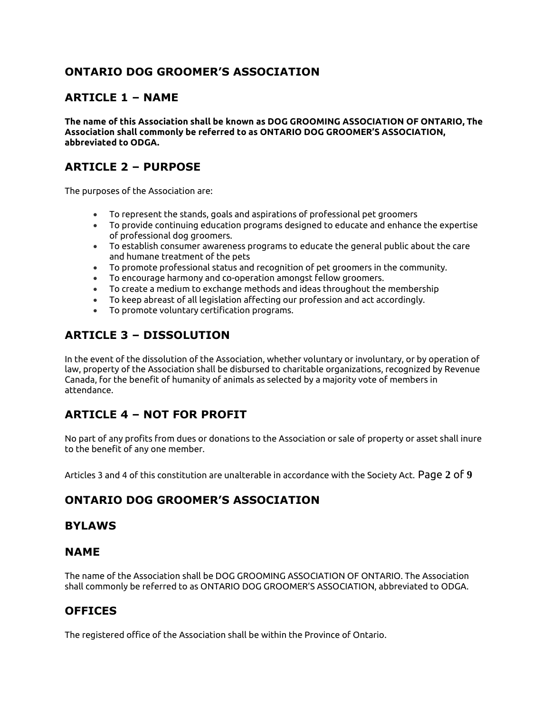## **ONTARIO DOG GROOMER'S ASSOCIATION**

#### **ARTICLE 1 – NAME**

**The name of this Association shall be known as DOG GROOMING ASSOCIATION OF ONTARIO, The Association shall commonly be referred to as ONTARIO DOG GROOMER'S ASSOCIATION, abbreviated to ODGA.**

## **ARTICLE 2 – PURPOSE**

The purposes of the Association are:

- To represent the stands, goals and aspirations of professional pet groomers
- To provide continuing education programs designed to educate and enhance the expertise of professional dog groomers.
- To establish consumer awareness programs to educate the general public about the care and humane treatment of the pets
- To promote professional status and recognition of pet groomers in the community.
- To encourage harmony and co-operation amongst fellow groomers.
- To create a medium to exchange methods and ideas throughout the membership
- To keep abreast of all legislation affecting our profession and act accordingly.
- To promote voluntary certification programs.

# **ARTICLE 3 – DISSOLUTION**

In the event of the dissolution of the Association, whether voluntary or involuntary, or by operation of law, property of the Association shall be disbursed to charitable organizations, recognized by Revenue Canada, for the benefit of humanity of animals as selected by a majority vote of members in attendance.

# **ARTICLE 4 – NOT FOR PROFIT**

No part of any profits from dues or donations to the Association or sale of property or asset shall inure to the benefit of any one member.

Articles 3 and 4 of this constitution are unalterable in accordance with the Society Act. Page **2** of **9**

### **ONTARIO DOG GROOMER'S ASSOCIATION**

#### **BYLAWS**

#### **NAME**

The name of the Association shall be DOG GROOMING ASSOCIATION OF ONTARIO. The Association shall commonly be referred to as ONTARIO DOG GROOMER'S ASSOCIATION, abbreviated to ODGA.

### **OFFICES**

The registered office of the Association shall be within the Province of Ontario.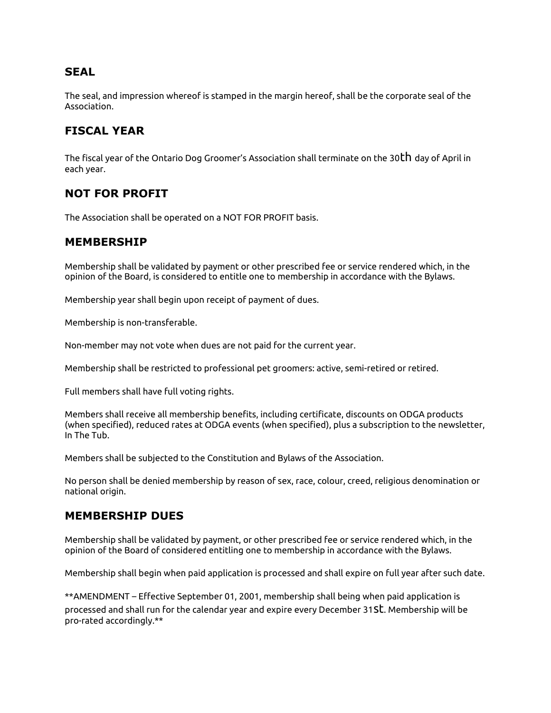#### **SEAL**

The seal, and impression whereof is stamped in the margin hereof, shall be the corporate seal of the Association.

## **FISCAL YEAR**

The fiscal year of the Ontario Dog Groomer's Association shall terminate on the 30th day of April in each year.

### **NOT FOR PROFIT**

The Association shall be operated on a NOT FOR PROFIT basis.

#### **MEMBERSHIP**

Membership shall be validated by payment or other prescribed fee or service rendered which, in the opinion of the Board, is considered to entitle one to membership in accordance with the Bylaws.

Membership year shall begin upon receipt of payment of dues.

Membership is non-transferable.

Non-member may not vote when dues are not paid for the current year.

Membership shall be restricted to professional pet groomers: active, semi-retired or retired.

Full members shall have full voting rights.

Members shall receive all membership benefits, including certificate, discounts on ODGA products (when specified), reduced rates at ODGA events (when specified), plus a subscription to the newsletter, In The Tub.

Members shall be subjected to the Constitution and Bylaws of the Association.

No person shall be denied membership by reason of sex, race, colour, creed, religious denomination or national origin.

#### **MEMBERSHIP DUES**

Membership shall be validated by payment, or other prescribed fee or service rendered which, in the opinion of the Board of considered entitling one to membership in accordance with the Bylaws.

Membership shall begin when paid application is processed and shall expire on full year after such date.

\*\*AMENDMENT – Effective September 01, 2001, membership shall being when paid application is processed and shall run for the calendar year and expire every December 31st. Membership will be pro-rated accordingly.\*\*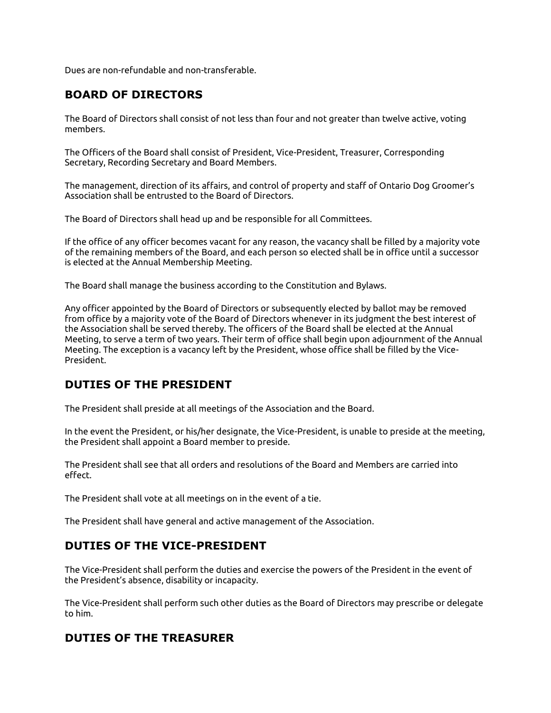Dues are non-refundable and non-transferable.

## **BOARD OF DIRECTORS**

The Board of Directors shall consist of not less than four and not greater than twelve active, voting members.

The Officers of the Board shall consist of President, Vice-President, Treasurer, Corresponding Secretary, Recording Secretary and Board Members.

The management, direction of its affairs, and control of property and staff of Ontario Dog Groomer's Association shall be entrusted to the Board of Directors.

The Board of Directors shall head up and be responsible for all Committees.

If the office of any officer becomes vacant for any reason, the vacancy shall be filled by a majority vote of the remaining members of the Board, and each person so elected shall be in office until a successor is elected at the Annual Membership Meeting.

The Board shall manage the business according to the Constitution and Bylaws.

Any officer appointed by the Board of Directors or subsequently elected by ballot may be removed from office by a majority vote of the Board of Directors whenever in its judgment the best interest of the Association shall be served thereby. The officers of the Board shall be elected at the Annual Meeting, to serve a term of two years. Their term of office shall begin upon adjournment of the Annual Meeting. The exception is a vacancy left by the President, whose office shall be filled by the Vice-President.

### **DUTIES OF THE PRESIDENT**

The President shall preside at all meetings of the Association and the Board.

In the event the President, or his/her designate, the Vice-President, is unable to preside at the meeting, the President shall appoint a Board member to preside.

The President shall see that all orders and resolutions of the Board and Members are carried into effect.

The President shall vote at all meetings on in the event of a tie.

The President shall have general and active management of the Association.

### **DUTIES OF THE VICE-PRESIDENT**

The Vice-President shall perform the duties and exercise the powers of the President in the event of the President's absence, disability or incapacity.

The Vice-President shall perform such other duties as the Board of Directors may prescribe or delegate to him.

### **DUTIES OF THE TREASURER**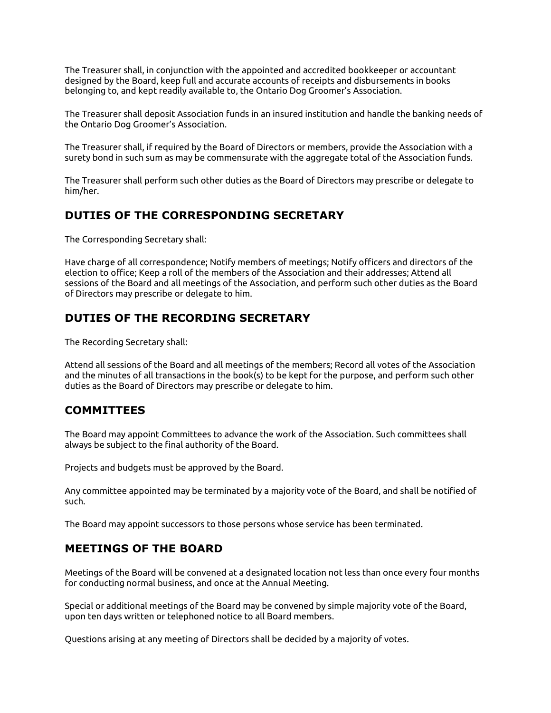The Treasurer shall, in conjunction with the appointed and accredited bookkeeper or accountant designed by the Board, keep full and accurate accounts of receipts and disbursements in books belonging to, and kept readily available to, the Ontario Dog Groomer's Association.

The Treasurer shall deposit Association funds in an insured institution and handle the banking needs of the Ontario Dog Groomer's Association.

The Treasurer shall, if required by the Board of Directors or members, provide the Association with a surety bond in such sum as may be commensurate with the aggregate total of the Association funds.

The Treasurer shall perform such other duties as the Board of Directors may prescribe or delegate to him/her.

#### **DUTIES OF THE CORRESPONDING SECRETARY**

The Corresponding Secretary shall:

Have charge of all correspondence; Notify members of meetings; Notify officers and directors of the election to office; Keep a roll of the members of the Association and their addresses; Attend all sessions of the Board and all meetings of the Association, and perform such other duties as the Board of Directors may prescribe or delegate to him.

## **DUTIES OF THE RECORDING SECRETARY**

The Recording Secretary shall:

Attend all sessions of the Board and all meetings of the members; Record all votes of the Association and the minutes of all transactions in the book(s) to be kept for the purpose, and perform such other duties as the Board of Directors may prescribe or delegate to him.

### **COMMITTEES**

The Board may appoint Committees to advance the work of the Association. Such committees shall always be subject to the final authority of the Board.

Projects and budgets must be approved by the Board.

Any committee appointed may be terminated by a majority vote of the Board, and shall be notified of such.

The Board may appoint successors to those persons whose service has been terminated.

### **MEETINGS OF THE BOARD**

Meetings of the Board will be convened at a designated location not less than once every four months for conducting normal business, and once at the Annual Meeting.

Special or additional meetings of the Board may be convened by simple majority vote of the Board, upon ten days written or telephoned notice to all Board members.

Questions arising at any meeting of Directors shall be decided by a majority of votes.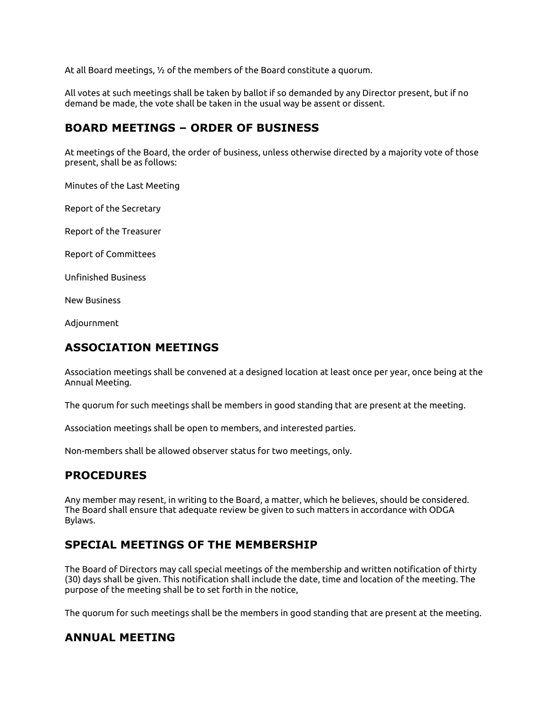At all Board meetings, ½ of the members of the Board constitute a quorum.

All votes at such meetings shall be taken by ballot if so demanded by any Director present, but if no demand be made, the vote shall be taken in the usual way be assent or dissent.

### **BOARD MEETINGS – ORDER OF BUSINESS**

At meetings of the Board, the order of business, unless otherwise directed by a majority vote of those present, shall be as follows:

Minutes of the Last Meeting

Report of the Secretary

Report of the Treasurer

Report of Committees

Unfinished Business

New Business

Adjournment

#### **ASSOCIATION MEETINGS**

Association meetings shall be convened at a designed location at least once per year, once being at the Annual Meeting.

The quorum for such meetings shall be members in good standing that are present at the meeting.

Association meetings shall be open to members, and interested parties.

Non-members shall be allowed observer status for two meetings, only.

### **PROCEDURES**

Any member may resent, in writing to the Board, a matter, which he believes, should be considered. The Board shall ensure that adequate review be given to such matters in accordance with ODGA Bylaws.

#### **SPECIAL MEETINGS OF THE MEMBERSHIP**

The Board of Directors may call special meetings of the membership and written notification of thirty (30) days shall be given. This notification shall include the date, time and location of the meeting. The purpose of the meeting shall be to set forth in the notice,

The quorum for such meetings shall be the members in good standing that are present at the meeting.

#### **ANNUAL MEETING**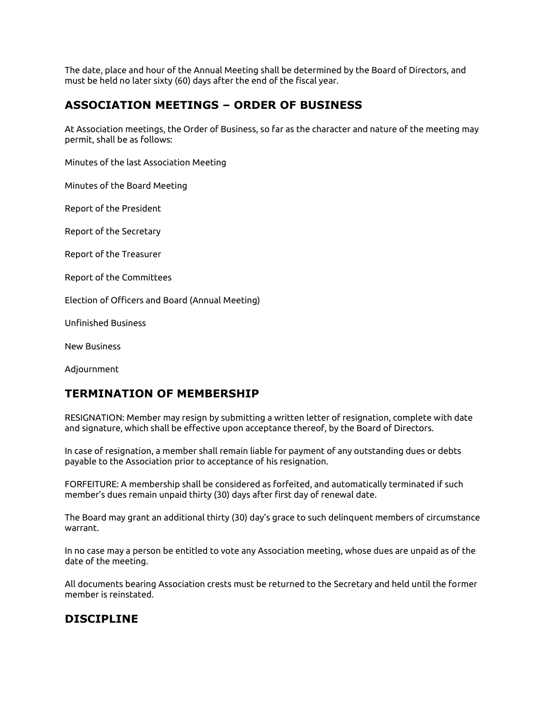The date, place and hour of the Annual Meeting shall be determined by the Board of Directors, and must be held no later sixty (60) days after the end of the fiscal year.

### **ASSOCIATION MEETINGS – ORDER OF BUSINESS**

At Association meetings, the Order of Business, so far as the character and nature of the meeting may permit, shall be as follows:

Minutes of the last Association Meeting

Minutes of the Board Meeting

Report of the President

Report of the Secretary

Report of the Treasurer

Report of the Committees

Election of Officers and Board (Annual Meeting)

Unfinished Business

New Business

Adjournment

### **TERMINATION OF MEMBERSHIP**

RESIGNATION: Member may resign by submitting a written letter of resignation, complete with date and signature, which shall be effective upon acceptance thereof, by the Board of Directors.

In case of resignation, a member shall remain liable for payment of any outstanding dues or debts payable to the Association prior to acceptance of his resignation.

FORFEITURE: A membership shall be considered as forfeited, and automatically terminated if such member's dues remain unpaid thirty (30) days after first day of renewal date.

The Board may grant an additional thirty (30) day's grace to such delinquent members of circumstance warrant.

In no case may a person be entitled to vote any Association meeting, whose dues are unpaid as of the date of the meeting.

All documents bearing Association crests must be returned to the Secretary and held until the former member is reinstated.

### **DISCIPLINE**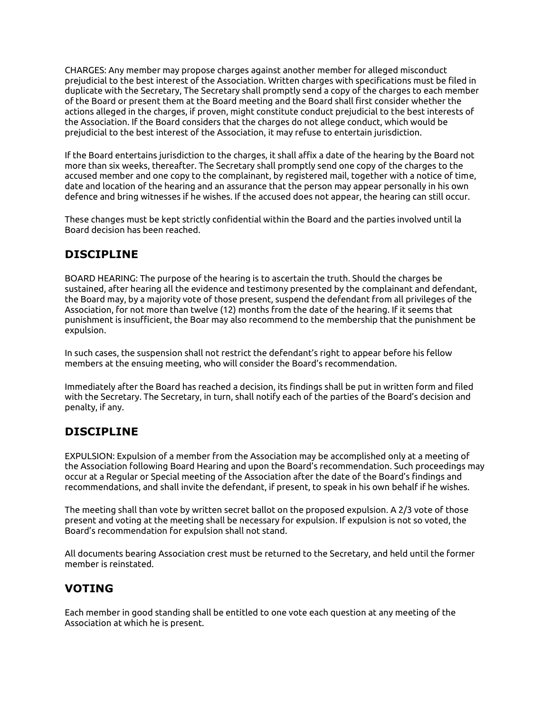CHARGES: Any member may propose charges against another member for alleged misconduct prejudicial to the best interest of the Association. Written charges with specifications must be filed in duplicate with the Secretary, The Secretary shall promptly send a copy of the charges to each member of the Board or present them at the Board meeting and the Board shall first consider whether the actions alleged in the charges, if proven, might constitute conduct prejudicial to the best interests of the Association. If the Board considers that the charges do not allege conduct, which would be prejudicial to the best interest of the Association, it may refuse to entertain jurisdiction.

If the Board entertains jurisdiction to the charges, it shall affix a date of the hearing by the Board not more than six weeks, thereafter. The Secretary shall promptly send one copy of the charges to the accused member and one copy to the complainant, by registered mail, together with a notice of time, date and location of the hearing and an assurance that the person may appear personally in his own defence and bring witnesses if he wishes. If the accused does not appear, the hearing can still occur.

These changes must be kept strictly confidential within the Board and the parties involved until la Board decision has been reached.

## **DISCIPLINE**

BOARD HEARING: The purpose of the hearing is to ascertain the truth. Should the charges be sustained, after hearing all the evidence and testimony presented by the complainant and defendant, the Board may, by a majority vote of those present, suspend the defendant from all privileges of the Association, for not more than twelve (12) months from the date of the hearing. If it seems that punishment is insufficient, the Boar may also recommend to the membership that the punishment be expulsion.

In such cases, the suspension shall not restrict the defendant's right to appear before his fellow members at the ensuing meeting, who will consider the Board's recommendation.

Immediately after the Board has reached a decision, its findings shall be put in written form and filed with the Secretary. The Secretary, in turn, shall notify each of the parties of the Board's decision and penalty, if any.

### **DISCIPLINE**

EXPULSION: Expulsion of a member from the Association may be accomplished only at a meeting of the Association following Board Hearing and upon the Board's recommendation. Such proceedings may occur at a Regular or Special meeting of the Association after the date of the Board's findings and recommendations, and shall invite the defendant, if present, to speak in his own behalf if he wishes.

The meeting shall than vote by written secret ballot on the proposed expulsion. A 2/3 vote of those present and voting at the meeting shall be necessary for expulsion. If expulsion is not so voted, the Board's recommendation for expulsion shall not stand.

All documents bearing Association crest must be returned to the Secretary, and held until the former member is reinstated.

### **VOTING**

Each member in good standing shall be entitled to one vote each question at any meeting of the Association at which he is present.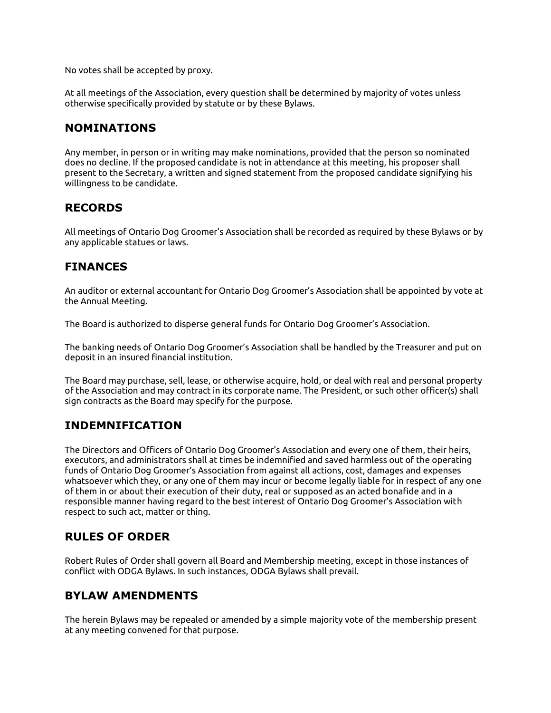No votes shall be accepted by proxy.

At all meetings of the Association, every question shall be determined by majority of votes unless otherwise specifically provided by statute or by these Bylaws.

#### **NOMINATIONS**

Any member, in person or in writing may make nominations, provided that the person so nominated does no decline. If the proposed candidate is not in attendance at this meeting, his proposer shall present to the Secretary, a written and signed statement from the proposed candidate signifying his willingness to be candidate.

#### **RECORDS**

All meetings of Ontario Dog Groomer's Association shall be recorded as required by these Bylaws or by any applicable statues or laws.

#### **FINANCES**

An auditor or external accountant for Ontario Dog Groomer's Association shall be appointed by vote at the Annual Meeting.

The Board is authorized to disperse general funds for Ontario Dog Groomer's Association.

The banking needs of Ontario Dog Groomer's Association shall be handled by the Treasurer and put on deposit in an insured financial institution.

The Board may purchase, sell, lease, or otherwise acquire, hold, or deal with real and personal property of the Association and may contract in its corporate name. The President, or such other officer(s) shall sign contracts as the Board may specify for the purpose.

#### **INDEMNIFICATION**

The Directors and Officers of Ontario Dog Groomer's Association and every one of them, their heirs, executors, and administrators shall at times be indemnified and saved harmless out of the operating funds of Ontario Dog Groomer's Association from against all actions, cost, damages and expenses whatsoever which they, or any one of them may incur or become legally liable for in respect of any one of them in or about their execution of their duty, real or supposed as an acted bonafide and in a responsible manner having regard to the best interest of Ontario Dog Groomer's Association with respect to such act, matter or thing.

#### **RULES OF ORDER**

Robert Rules of Order shall govern all Board and Membership meeting, except in those instances of conflict with ODGA Bylaws. In such instances, ODGA Bylaws shall prevail.

### **BYLAW AMENDMENTS**

The herein Bylaws may be repealed or amended by a simple majority vote of the membership present at any meeting convened for that purpose.